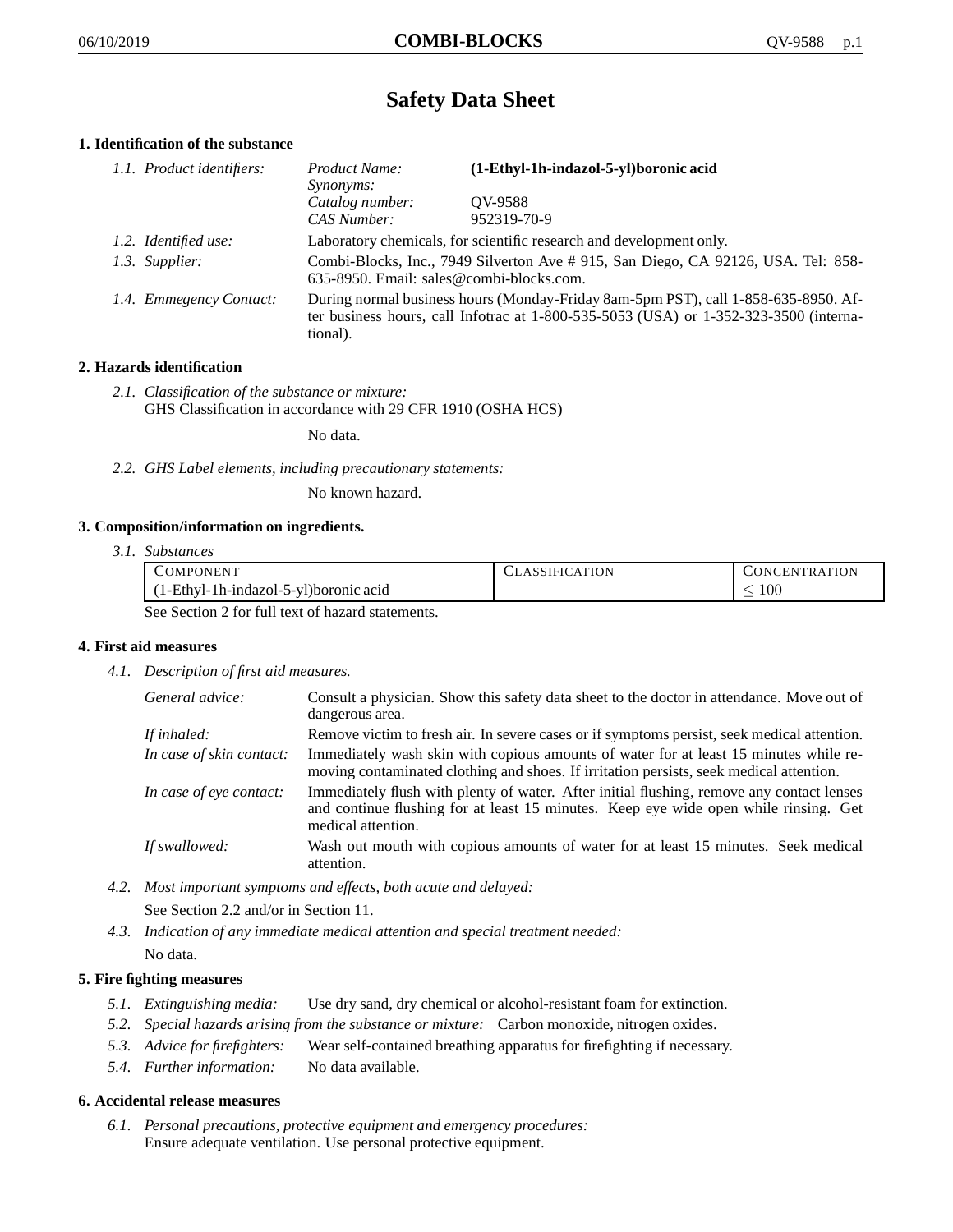# **Safety Data Sheet**

# **1. Identification of the substance**

| 1.1. Product identifiers: | Product Name:<br>Synonyms:                                                                                                                                                                  | (1-Ethyl-1h-indazol-5-yl)boronic acid |
|---------------------------|---------------------------------------------------------------------------------------------------------------------------------------------------------------------------------------------|---------------------------------------|
|                           | Catalog number:<br>CAS Number:                                                                                                                                                              | OV-9588<br>952319-70-9                |
| 1.2. Identified use:      | Laboratory chemicals, for scientific research and development only.                                                                                                                         |                                       |
| 1.3. Supplier:            | Combi-Blocks, Inc., 7949 Silverton Ave # 915, San Diego, CA 92126, USA. Tel: 858-<br>635-8950. Email: sales@combi-blocks.com.                                                               |                                       |
| 1.4. Emmegency Contact:   | During normal business hours (Monday-Friday 8am-5pm PST), call 1-858-635-8950. Af-<br>ter business hours, call Infotrac at $1-800-535-5053$ (USA) or $1-352-323-3500$ (interna-<br>tional). |                                       |

## **2. Hazards identification**

*2.1. Classification of the substance or mixture:* GHS Classification in accordance with 29 CFR 1910 (OSHA HCS)

No data.

*2.2. GHS Label elements, including precautionary statements:*

No known hazard.

## **3. Composition/information on ingredients.**

*3.1. Substances*

| COMPONENT                                      | CLASSIFICATION | CONCENTRATION |
|------------------------------------------------|----------------|---------------|
| $(1-Ethyl-1h-indazol-5-yl)boronic acid$        |                | 00            |
| See Section 2 for full toxi of here determined |                |               |

See Section 2 for full text of hazard statements.

## **4. First aid measures**

*4.1. Description of first aid measures.*

| General advice:          | Consult a physician. Show this safety data sheet to the doctor in attendance. Move out of<br>dangerous area.                                                                                            |
|--------------------------|---------------------------------------------------------------------------------------------------------------------------------------------------------------------------------------------------------|
| If inhaled:              | Remove victim to fresh air. In severe cases or if symptoms persist, seek medical attention.                                                                                                             |
| In case of skin contact: | Immediately wash skin with copious amounts of water for at least 15 minutes while re-<br>moving contaminated clothing and shoes. If irritation persists, seek medical attention.                        |
| In case of eye contact:  | Immediately flush with plenty of water. After initial flushing, remove any contact lenses<br>and continue flushing for at least 15 minutes. Keep eye wide open while rinsing. Get<br>medical attention. |
| If swallowed:            | Wash out mouth with copious amounts of water for at least 15 minutes. Seek medical<br>attention.                                                                                                        |

*4.2. Most important symptoms and effects, both acute and delayed:*

See Section 2.2 and/or in Section 11.

*4.3. Indication of any immediate medical attention and special treatment needed:* No data.

# **5. Fire fighting measures**

- *5.1. Extinguishing media:* Use dry sand, dry chemical or alcohol-resistant foam for extinction.
- *5.2. Special hazards arising from the substance or mixture:* Carbon monoxide, nitrogen oxides.
- *5.3. Advice for firefighters:* Wear self-contained breathing apparatus for firefighting if necessary.
- *5.4. Further information:* No data available.

## **6. Accidental release measures**

*6.1. Personal precautions, protective equipment and emergency procedures:* Ensure adequate ventilation. Use personal protective equipment.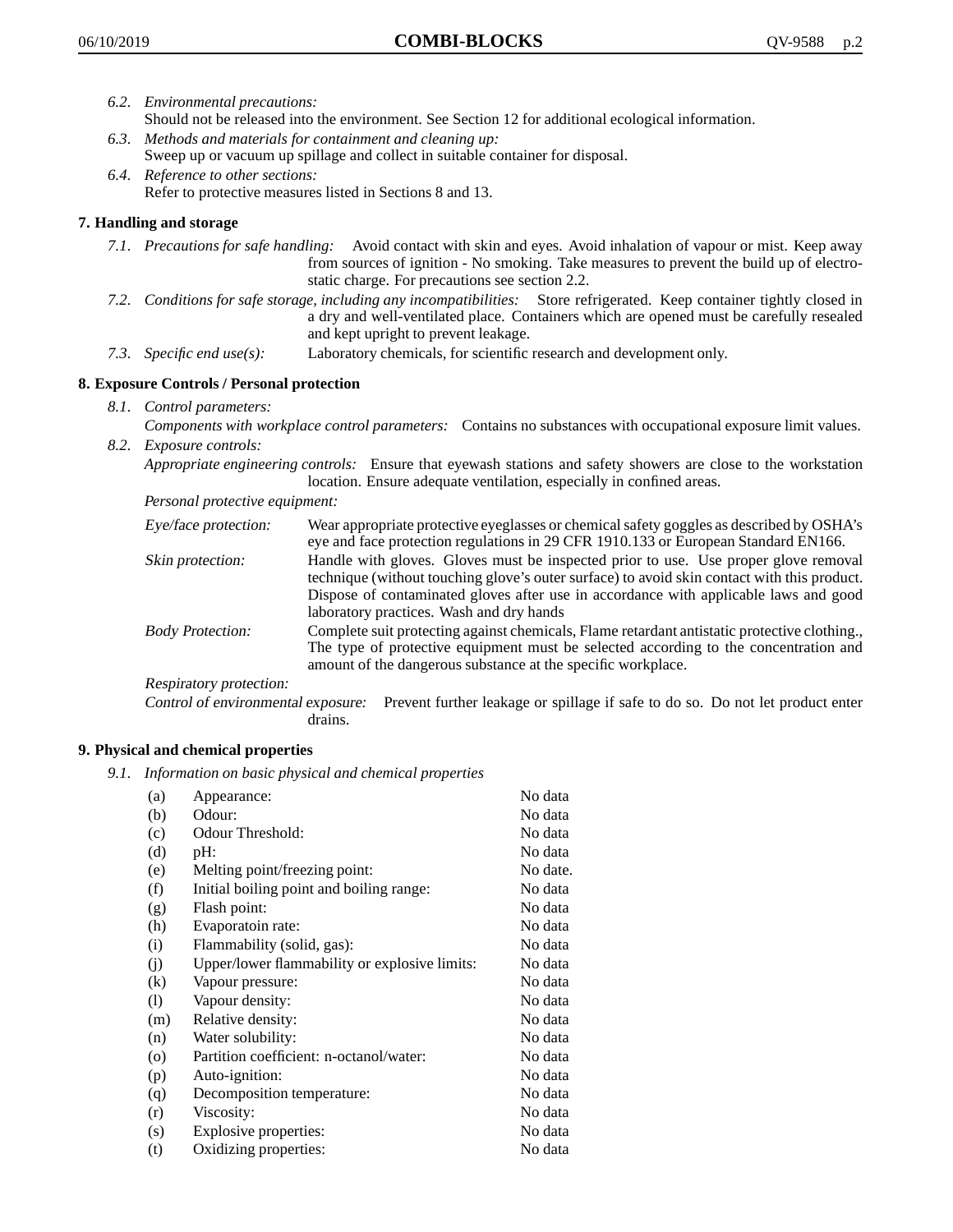- *6.2. Environmental precautions:*
	- Should not be released into the environment. See Section 12 for additional ecological information.
- *6.3. Methods and materials for containment and cleaning up:* Sweep up or vacuum up spillage and collect in suitable container for disposal.
- *6.4. Reference to other sections:* Refer to protective measures listed in Sections 8 and 13.

# **7. Handling and storage**

- *7.1. Precautions for safe handling:* Avoid contact with skin and eyes. Avoid inhalation of vapour or mist. Keep away from sources of ignition - No smoking. Take measures to prevent the build up of electrostatic charge. For precautions see section 2.2.
- *7.2. Conditions for safe storage, including any incompatibilities:* Store refrigerated. Keep container tightly closed in a dry and well-ventilated place. Containers which are opened must be carefully resealed and kept upright to prevent leakage.
- *7.3. Specific end use(s):* Laboratory chemicals, for scientific research and development only.

## **8. Exposure Controls / Personal protection**

*8.1. Control parameters:*

*Components with workplace control parameters:* Contains no substances with occupational exposure limit values. *8.2. Exposure controls:*

*Appropriate engineering controls:* Ensure that eyewash stations and safety showers are close to the workstation location. Ensure adequate ventilation, especially in confined areas.

*Personal protective equipment:*

| Eye/face protection:    | Wear appropriate protective eyeglasses or chemical safety goggles as described by OSHA's<br>eye and face protection regulations in 29 CFR 1910.133 or European Standard EN166.                                                                                                                                         |
|-------------------------|------------------------------------------------------------------------------------------------------------------------------------------------------------------------------------------------------------------------------------------------------------------------------------------------------------------------|
| Skin protection:        | Handle with gloves. Gloves must be inspected prior to use. Use proper glove removal<br>technique (without touching glove's outer surface) to avoid skin contact with this product.<br>Dispose of contaminated gloves after use in accordance with applicable laws and good<br>laboratory practices. Wash and dry hands |
| <b>Body Protection:</b> | Complete suit protecting against chemicals, Flame retardant antistatic protective clothing.,<br>The type of protective equipment must be selected according to the concentration and<br>amount of the dangerous substance at the specific workplace.                                                                   |
| Respiratory protection: |                                                                                                                                                                                                                                                                                                                        |

Control of environmental exposure: Prevent further leakage or spillage if safe to do so. Do not let product enter drains.

## **9. Physical and chemical properties**

*9.1. Information on basic physical and chemical properties*

| (a)               | Appearance:                                   | No data  |
|-------------------|-----------------------------------------------|----------|
| (b)               | Odour:                                        | No data  |
| (c)               | Odour Threshold:                              | No data  |
| (d)               | pH:                                           | No data  |
| (e)               | Melting point/freezing point:                 | No date. |
| (f)               | Initial boiling point and boiling range:      | No data  |
| (g)               | Flash point:                                  | No data  |
| (h)               | Evaporatoin rate:                             | No data  |
| (i)               | Flammability (solid, gas):                    | No data  |
| (j)               | Upper/lower flammability or explosive limits: | No data  |
| $\left( k\right)$ | Vapour pressure:                              | No data  |
| (1)               | Vapour density:                               | No data  |
| (m)               | Relative density:                             | No data  |
| (n)               | Water solubility:                             | No data  |
| $\circ$           | Partition coefficient: n-octanol/water:       | No data  |
| (p)               | Auto-ignition:                                | No data  |
| (q)               | Decomposition temperature:                    | No data  |
| (r)               | Viscosity:                                    | No data  |
| (s)               | Explosive properties:                         | No data  |
| (t)               | Oxidizing properties:                         | No data  |